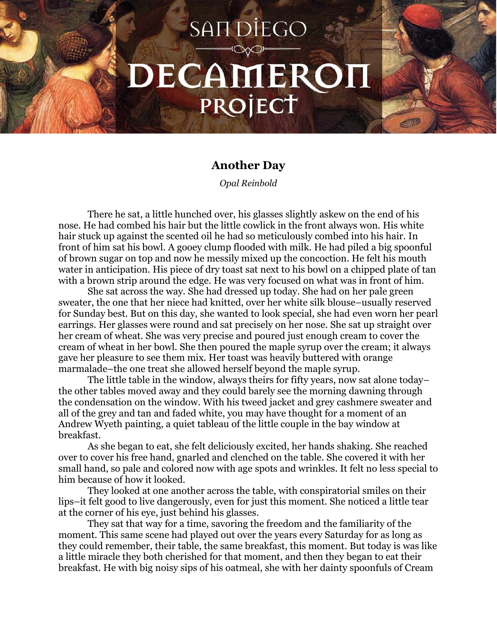## **SANDIEGO** DECAMEROI PROJECT

## **Another Day**

*Opal Reinbold*

There he sat, a little hunched over, his glasses slightly askew on the end of his nose. He had combed his hair but the little cowlick in the front always won. His white hair stuck up against the scented oil he had so meticulously combed into his hair. In front of him sat his bowl. A gooey clump flooded with milk. He had piled a big spoonful of brown sugar on top and now he messily mixed up the concoction. He felt his mouth water in anticipation. His piece of dry toast sat next to his bowl on a chipped plate of tan with a brown strip around the edge. He was very focused on what was in front of him.

She sat across the way. She had dressed up today. She had on her pale green sweater, the one that her niece had knitted, over her white silk blouse–usually reserved for Sunday best. But on this day, she wanted to look special, she had even worn her pearl earrings. Her glasses were round and sat precisely on her nose. She sat up straight over her cream of wheat. She was very precise and poured just enough cream to cover the cream of wheat in her bowl. She then poured the maple syrup over the cream; it always gave her pleasure to see them mix. Her toast was heavily buttered with orange marmalade–the one treat she allowed herself beyond the maple syrup.

The little table in the window, always theirs for fifty years, now sat alone today– the other tables moved away and they could barely see the morning dawning through the condensation on the window. With his tweed jacket and grey cashmere sweater and all of the grey and tan and faded white, you may have thought for a moment of an Andrew Wyeth painting, a quiet tableau of the little couple in the bay window at breakfast.

As she began to eat, she felt deliciously excited, her hands shaking. She reached over to cover his free hand, gnarled and clenched on the table. She covered it with her small hand, so pale and colored now with age spots and wrinkles. It felt no less special to him because of how it looked.

They looked at one another across the table, with conspiratorial smiles on their lips–it felt good to live dangerously, even for just this moment. She noticed a little tear at the corner of his eye, just behind his glasses.

They sat that way for a time, savoring the freedom and the familiarity of the moment. This same scene had played out over the years every Saturday for as long as they could remember, their table, the same breakfast, this moment. But today is was like a little miracle they both cherished for that moment, and then they began to eat their breakfast. He with big noisy sips of his oatmeal, she with her dainty spoonfuls of Cream